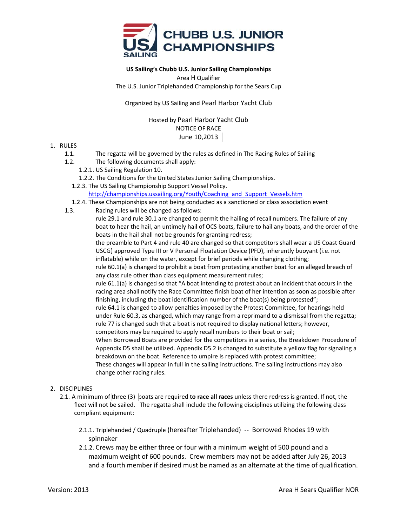

# **US Sailing's Chubb U.S. Junior Sailing Championships**

Area H Qualifier

The U.S. Junior Triplehanded Championship for the Sears Cup

Organized by US Sailing and Pearl Harbor Yacht Club

Hosted by Pearl Harbor Yacht Club NOTICE OF RACE June 10,2013

### 1. RULES

- 1.1. The regatta will be governed by the rules as defined in The Racing Rules of Sailing
- 1.2. The following documents shall apply:
	- 1.2.1. US Sailing Regulation 10.
	- 1.2.2. The Conditions for the United States Junior Sailing Championships.

1.2.3. The US Sailing Championship Support Vessel Policy.

#### http://championships.ussailing.org/Youth/Coaching\_and\_Support\_Vessels.htm

- 1.2.4. These Championships are not being conducted as a sanctioned or class association event
- 1.3. Racing rules will be changed as follows:

rule 29.1 and rule 30.1 are changed to permit the hailing of recall numbers. The failure of any boat to hear the hail, an untimely hail of OCS boats, failure to hail any boats, and the order of the boats in the hail shall not be grounds for granting redress;

the preamble to Part 4 and rule 40 are changed so that competitors shall wear a US Coast Guard USCG) approved Type III or V Personal Floatation Device (PFD), inherently buoyant (i.e. not inflatable) while on the water, except for brief periods while changing clothing;

rule 60.1(a) is changed to prohibit a boat from protesting another boat for an alleged breach of any class rule other than class equipment measurement rules;

rule 61.1(a) is changed so that "A boat intending to protest about an incident that occurs in the racing area shall notify the Race Committee finish boat of her intention as soon as possible after finishing, including the boat identification number of the boat(s) being protested";

rule 64.1 is changed to allow penalties imposed by the Protest Committee, for hearings held under Rule 60.3, as changed, which may range from a reprimand to a dismissal from the regatta; rule 77 is changed such that a boat is not required to display national letters; however, competitors may be required to apply recall numbers to their boat or sail;

When Borrowed Boats are provided for the competitors in a series, the Breakdown Procedure of Appendix D5 shall be utilized. Appendix D5.2 is changed to substitute a yellow flag for signaling a breakdown on the boat. Reference to umpire is replaced with protest committee;

These changes will appear in full in the sailing instructions. The sailing instructions may also change other racing rules.

## 2. DISCIPLINES

2.1. A minimum of three (3) boats are required **to race all races** unless there redress is granted. If not, the fleet will not be sailed. The regatta shall include the following disciplines utilizing the following class compliant equipment:

2.1.1. Triplehanded / Quadruple (hereafter Triplehanded) ‐‐ Borrowed Rhodes 19 with spinnaker

2.1.2. Crews may be either three or four with a minimum weight of 500 pound and a maximum weight of 600 pounds. Crew members may not be added after July 26, 2013 and a fourth member if desired must be named as an alternate at the time of qualification.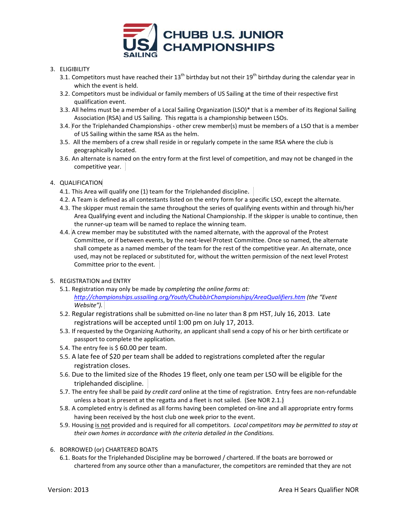

# 3. ELIGIBILITY

- 3.1. Competitors must have reached their  $13^{th}$  birthday but not their  $19^{th}$  birthday during the calendar year in which the event is held.
- 3.2. Competitors must be individual or family members of US Sailing at the time of their respective first qualification event.
- 3.3. All helms must be a member of a Local Sailing Organization (LSO)\* that is a member of its Regional Sailing Association (RSA) and US Sailing. This regatta is a championship between LSOs.
- 3.4. For the Triplehanded Championships ‐ other crew member(s) must be members of a LSO that is a member of US Sailing within the same RSA as the helm.
- 3.5. All the members of a crew shall reside in or regularly compete in the same RSA where the club is geographically located.
- 3.6. An alternate is named on the entry form at the first level of competition, and may not be changed in the competitive year.
- 4. QUALIFICATION
	- 4.1. This Area will qualify one (1) team for the Triplehanded discipline.
	- 4.2. A Team is defined as all contestants listed on the entry form for a specific LSO, except the alternate.
	- 4.3. The skipper must remain the same throughout the series of qualifying events within and through his/her Area Qualifying event and including the National Championship. If the skipper is unable to continue, then the runner‐up team will be named to replace the winning team.
	- 4.4. A crew member may be substituted with the named alternate, with the approval of the Protest Committee, or if between events, by the next‐level Protest Committee. Once so named, the alternate shall compete as a named member of the team for the rest of the competitive year. An alternate, once used, may not be replaced or substituted for, without the written permission of the next level Protest Committee prior to the event.
- 5. REGISTRATION and ENTRY
	- 5.1. Registration may only be made by *completing the online forms at: http://championships.ussailing.org/Youth/ChubbJrChampionships/AreaQualifiers.htm (the "Event Website").*
	- 5.2. Regular registrations shall be submitted on-line no later than 8 pm HST, July 16, 2013. Late registrations will be accepted until 1:00 pm on July 17, 2013.
	- 5.3. If requested by the Organizing Authority, an applicant shall send a copy of his or her birth certificate or passport to complete the application.
	- 5.4. The entry fee is \$60.00 per team.
	- 5.5. A late fee of \$20 per team shall be added to registrations completed after the regular registration closes.
	- 5.6. Due to the limited size of the Rhodes 19 fleet, only one team per LSO will be eligible for the triplehanded discipline.
	- 5.7. The entry fee shall be paid *by credit card* online at the time of registration. Entry fees are non‐refundable unless a boat is present at the regatta and a fleet is not sailed. (See NOR 2.1.)
	- 5.8. A completed entry is defined as all forms having been completed on‐line and all appropriate entry forms having been received by the host club one week prior to the event.
	- 5.9. Housing is not provided and is required for all competitors. *Local competitors may be permitted to stay at their own homes in accordance with the criteria detailed in the Conditions.*
- 6. BORROWED (or) CHARTERED BOATS
	- 6.1. Boats for the Triplehanded Discipline may be borrowed / chartered. If the boats are borrowed or chartered from any source other than a manufacturer, the competitors are reminded that they are not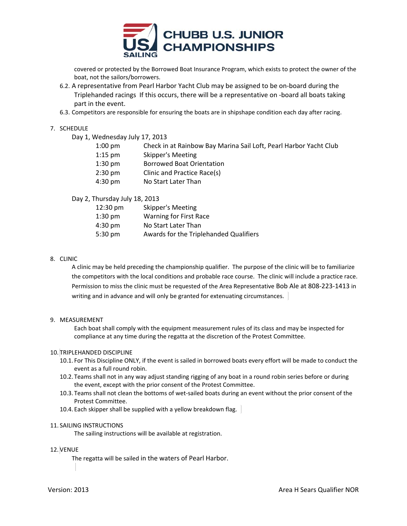

covered or protected by the Borrowed Boat Insurance Program, which exists to protect the owner of the boat, not the sailors/borrowers.

- 6.2. A representative from Pearl Harbor Yacht Club may be assigned to be on‐board during the Triplehanded racings If this occurs, there will be a representative on ‐board all boats taking part in the event.
- 6.3. Competitors are responsible for ensuring the boats are in shipshape condition each day after racing.

### 7. SCHEDULE

|  | Day 1, Wednesday July 17, 2013 |  |  |  |
|--|--------------------------------|--|--|--|
|--|--------------------------------|--|--|--|

| $1:00$ pm         | Check in at Rainbow Bay Marina Sail Loft, Pearl Harbor Yacht Club |
|-------------------|-------------------------------------------------------------------|
| $1:15$ pm         | Skipper's Meeting                                                 |
| $1:30$ pm         | <b>Borrowed Boat Orientation</b>                                  |
| $2:30 \text{ pm}$ | Clinic and Practice Race(s)                                       |
| $4:30 \text{ pm}$ | No Start Later Than                                               |
|                   |                                                                   |

Day 2, Thursday July 18, 2013

| $12:30 \text{ pm}$ | Skipper's Meeting                      |
|--------------------|----------------------------------------|
| $1:30$ pm          | Warning for First Race                 |
| $4:30 \text{ pm}$  | No Start Later Than                    |
| $5:30 \text{ pm}$  | Awards for the Triplehanded Qualifiers |
|                    |                                        |

## 8. CLINIC

A clinic may be held preceding the championship qualifier. The purpose of the clinic will be to familiarize the competitors with the local conditions and probable race course. The clinic will include a practice race. Permission to miss the clinic must be requested of the Area Representative Bob Ale at 808‐223‐1413 in writing and in advance and will only be granted for extenuating circumstances.

#### 9. MEASUREMENT

Each boat shall comply with the equipment measurement rules of its class and may be inspected for compliance at any time during the regatta at the discretion of the Protest Committee.

## 10. TRIPLEHANDED DISCIPLINE

- 10.1. For This Discipline ONLY, if the event is sailed in borrowed boats every effort will be made to conduct the event as a full round robin.
- 10.2. Teams shall not in any way adjust standing rigging of any boat in a round robin series before or during the event, except with the prior consent of the Protest Committee.
- 10.3. Teams shall not clean the bottoms of wet‐sailed boats during an event without the prior consent of the Protest Committee.
- 10.4. Each skipper shall be supplied with a yellow breakdown flag.

#### 11. SAILING INSTRUCTIONS

The sailing instructions will be available at registration.

- 12. VENUE
	- The regatta will be sailed in the waters of Pearl Harbor.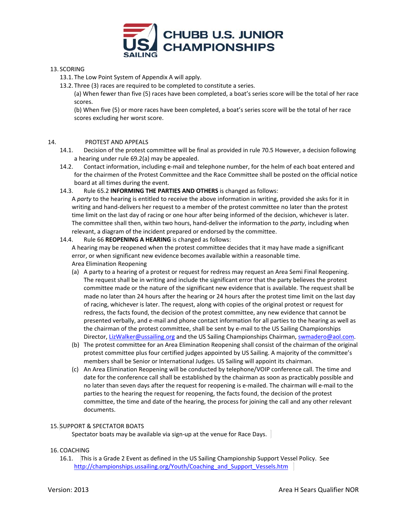

# 13. SCORING

13.1. The Low Point System of Appendix A will apply.

13.2. Three (3) races are required to be completed to constitute a series.

(a) When fewer than five (5) races have been completed, a boat's series score will be the total of her race scores.

(b) When five (5) or more races have been completed, a boat's series score will be the total of her race scores excluding her worst score.

# 14. PROTEST AND APPEALS

- 14.1. Decision of the protest committee will be final as provided in rule 70.5 However, a decision following a hearing under rule 69.2(a) may be appealed.
- 14.2. Contact information, including e-mail and telephone number, for the helm of each boat entered and for the chairmen of the Protest Committee and the Race Committee shall be posted on the official notice board at all times during the event.
- 14.3. Rule 65.2 **INFORMING THE PARTIES AND OTHERS** is changed as follows:

A *party* to the hearing is entitled to receive the above information in writing, provided she asks for it in writing and hand‐delivers her request to a member of the protest committee no later than the protest time limit on the last day of racing or one hour after being informed of the decision, whichever is later. The committee shall then, within two hours, hand‐deliver the information to the *party*, including when relevant, a diagram of the incident prepared or endorsed by the committee.

# 14.4. Rule 66 **REOPENING A HEARING** is changed as follows:

A hearing may be reopened when the protest committee decides that it may have made a significant error, or when significant new evidence becomes available within a reasonable time. Area Elimination Reopening

- (a) A party to a hearing of a protest or request for redress may request an Area Semi Final Reopening. The request shall be in writing and include the significant error that the party believes the protest committee made or the nature of the significant new evidence that is available. The request shall be made no later than 24 hours after the hearing or 24 hours after the protest time limit on the last day of racing, whichever is later. The request, along with copies of the original protest or request for redress, the facts found, the decision of the protest committee, any new evidence that cannot be presented verbally, and e‐mail and phone contact information for all parties to the hearing as well as the chairman of the protest committee, shall be sent by e-mail to the US Sailing Championships Director, LizWalker@ussailing.org and the US Sailing Championships Chairman, swmadero@aol.com.
- (b) The protest committee for an Area Elimination Reopening shall consist of the chairman of the original protest committee plus four certified judges appointed by US Sailing. A majority of the committee's members shall be Senior or International Judges. US Sailing will appoint its chairman.
- (c) An Area Elimination Reopening will be conducted by telephone/VOIP conference call. The time and date for the conference call shall be established by the chairman as soon as practicably possible and no later than seven days after the request for reopening is e-mailed. The chairman will e-mail to the parties to the hearing the request for reopening, the facts found, the decision of the protest committee, the time and date of the hearing, the process for joining the call and any other relevant documents.

## 15. SUPPORT & SPECTATOR BOATS

Spectator boats may be available via sign-up at the venue for Race Days.

# 16. COACHING

16.1. This is a Grade 2 Event as defined in the US Sailing Championship Support Vessel Policy. See http://championships.ussailing.org/Youth/Coaching\_and\_Support\_Vessels.htm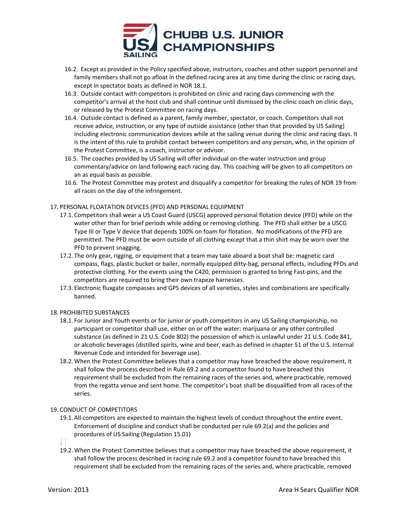

- 16.2. Except as provided in the Policy specified above, instructors, coaches and other support personnel and family members shall not go afloat in the defined racing area at any time during the clinic or racing days, except in spectator boats as defined in NOR 18.1.
- 16.3. Outside contact with competitors is prohibited on clinic and racing days commencing with the competitor's arrival at the host club and shall continue until dismissed by the clinic coach on clinic days, or released by the Protest Committee on racing days.
- 16.4. Outside contact is defined as a parent, family member, spectator, or coach. Competitors shall not receive advice, instruction, or any type of outside assistance (other than that provided by US Sailing) including electronic communication devices while at the sailing venue during the clinic and racing days. It is the intent of this rule to prohibit contact between competitors and any person, who, in the opinion of the Protest Committee, is a coach, instructor or advisor.
- 16.5. The coaches provided by US Sailing will offer individual on-the-water instruction and group commentary/advice on land following each racing day. This coaching will be given to all competitors on an as equal basis as possible.
- 16.6. The Protest Committee may protest and disqualify a competitor for breaking the rules of NOR 19 from all races on the day of the infringement.

### 17. PERSONAL FLOATATION DEVICES (PFD) AND PERSONAL EQUIPMENT

- 17.1.Competitors shall wear a US Coast Guard (USCG) approved personal flotation device (PFD) while on the water other than for brief periods while adding or removing clothing. The PFD shall either be a USCG Type III or Type V device that depends 100% on foam for flotation. No modifications of the PFD are permitted. The PFD must be worn outside of all clothing except that a thin shirt may be worn over the PFD to prevent snagging.
- 17.2. The only gear, rigging, or equipment that a team may take aboard a boat shall be: magnetic card compass, flags, plastic bucket or bailer, normally equipped ditty‐bag, personal effects, including PFDs and protective clothing. For the events using the C420, permission is granted to bring Fast-pins, and the competitors are required to bring their own trapeze harnesses.
- 17.3. Electronic fluxgate compasses and GPS devices of all varieties, styles and combinations are specifically banned.

#### 18. PROHIBITED SUBSTANCES

- 18.1. For Junior and Youth events or for junior or youth competitors in any US Sailing championship, no participant or competitor shall use, either on or off the water: marijuana or any other controlled substance (as defined in 21 U.S. Code 802) the possession of which is unlawful under 21 U.S. Code 841, or alcoholic beverages (distilled spirits, wine and beer, each as defined in chapter 51 of the U.S. Internal Revenue Code and intended for beverage use).
- 18.2.When the Protest Committee believes that a competitor may have breached the above requirement, it shall follow the process described in Rule 69.2 and a competitor found to have breached this requirement shall be excluded from the remaining races of the series and, where practicable, removed from the regatta venue and sent home. The competitor's boat shall be disqualified from all races of the series.

## 19. CONDUCT OF COMPETITORS

19.1.All competitors are expected to maintain the highest levels of conduct throughout the entire event. Enforcement of discipline and conduct shall be conducted per rule 69.2(a) and the policies and procedures of US Sailing (Regulation 15.01)

.

19.2.When the Protest Committee believes that a competitor may have breached the above requirement, it shall follow the process described in racing rule 69.2 and a competitor found to have breached this requirement shall be excluded from the remaining races of the series and, where practicable, removed